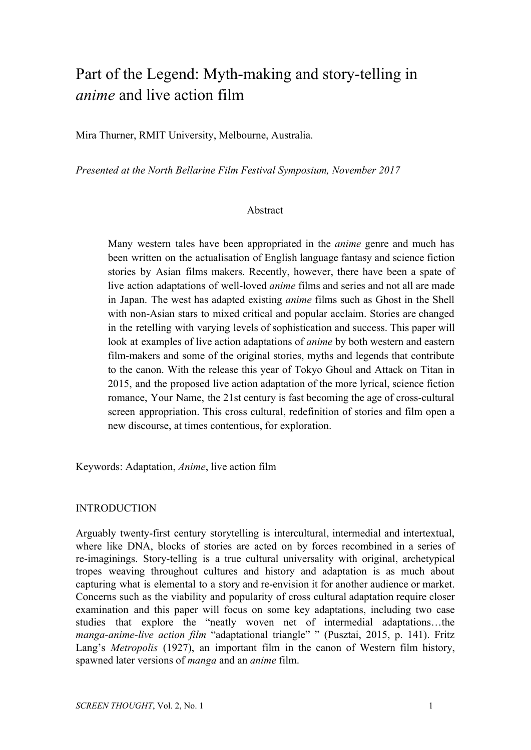# Part of the Legend: Myth-making and story-telling in *anime* and live action film

Mira Thurner, RMIT University, Melbourne, Australia.

*Presented at the North Bellarine Film Festival Symposium, November 2017*

#### Abstract

Many western tales have been appropriated in the *anime* genre and much has been written on the actualisation of English language fantasy and science fiction stories by Asian films makers. Recently, however, there have been a spate of live action adaptations of well-loved *anime* films and series and not all are made in Japan. The west has adapted existing *anime* films such as Ghost in the Shell with non-Asian stars to mixed critical and popular acclaim. Stories are changed in the retelling with varying levels of sophistication and success. This paper will look at examples of live action adaptations of *anime* by both western and eastern film-makers and some of the original stories, myths and legends that contribute to the canon. With the release this year of Tokyo Ghoul and Attack on Titan in 2015, and the proposed live action adaptation of the more lyrical, science fiction romance, Your Name, the 21st century is fast becoming the age of cross-cultural screen appropriation. This cross cultural, redefinition of stories and film open a new discourse, at times contentious, for exploration.

Keywords: Adaptation, *Anime*, live action film

#### INTRODUCTION

Arguably twenty-first century storytelling is intercultural, intermedial and intertextual, where like DNA, blocks of stories are acted on by forces recombined in a series of re-imaginings. Story-telling is a true cultural universality with original, archetypical tropes weaving throughout cultures and history and adaptation is as much about capturing what is elemental to a story and re-envision it for another audience or market. Concerns such as the viability and popularity of cross cultural adaptation require closer examination and this paper will focus on some key adaptations, including two case studies that explore the "neatly woven net of intermedial adaptations…the *manga-anime-live action film* "adaptational triangle" " (Pusztai, 2015, p. 141). Fritz Lang's *Metropolis* (1927), an important film in the canon of Western film history, spawned later versions of *manga* and an *anime* film.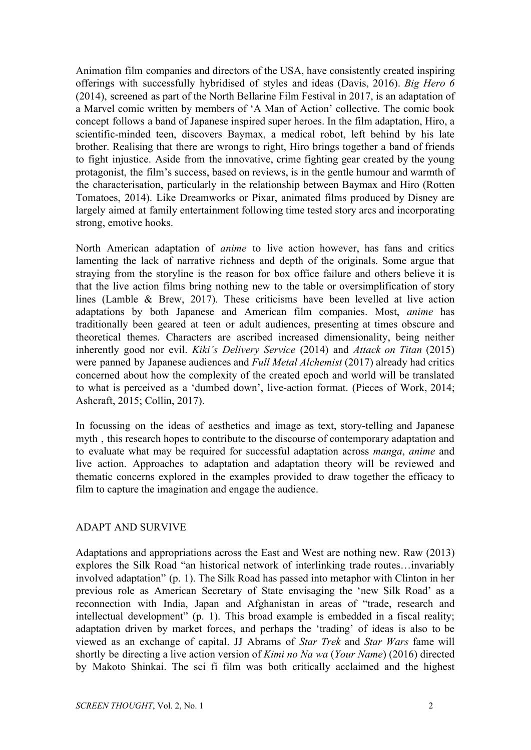Animation film companies and directors of the USA, have consistently created inspiring offerings with successfully hybridised of styles and ideas (Davis, 2016). *Big Hero 6* (2014), screened as part of the North Bellarine Film Festival in 2017, is an adaptation of a Marvel comic written by members of 'A Man of Action' collective. The comic book concept follows a band of Japanese inspired super heroes. In the film adaptation, Hiro, a scientific-minded teen, discovers Baymax, a medical robot, left behind by his late brother. Realising that there are wrongs to right, Hiro brings together a band of friends to fight injustice. Aside from the innovative, crime fighting gear created by the young protagonist, the film's success, based on reviews, is in the gentle humour and warmth of the characterisation, particularly in the relationship between Baymax and Hiro (Rotten Tomatoes, 2014). Like Dreamworks or Pixar, animated films produced by Disney are largely aimed at family entertainment following time tested story arcs and incorporating strong, emotive hooks.

North American adaptation of *anime* to live action however, has fans and critics lamenting the lack of narrative richness and depth of the originals. Some argue that straying from the storyline is the reason for box office failure and others believe it is that the live action films bring nothing new to the table or oversimplification of story lines (Lamble & Brew, 2017). These criticisms have been levelled at live action adaptations by both Japanese and American film companies. Most, *anime* has traditionally been geared at teen or adult audiences, presenting at times obscure and theoretical themes. Characters are ascribed increased dimensionality, being neither inherently good nor evil. *Kiki's Delivery Service* (2014) and *Attack on Titan* (2015) were panned by Japanese audiences and *Full Metal Alchemist* (2017) already had critics concerned about how the complexity of the created epoch and world will be translated to what is perceived as a 'dumbed down', live-action format. (Pieces of Work, 2014; Ashcraft, 2015; Collin, 2017).

In focussing on the ideas of aesthetics and image as text, story-telling and Japanese myth , this research hopes to contribute to the discourse of contemporary adaptation and to evaluate what may be required for successful adaptation across *manga*, *anime* and live action. Approaches to adaptation and adaptation theory will be reviewed and thematic concerns explored in the examples provided to draw together the efficacy to film to capture the imagination and engage the audience.

#### ADAPT AND SURVIVE

Adaptations and appropriations across the East and West are nothing new. Raw (2013) explores the Silk Road "an historical network of interlinking trade routes…invariably involved adaptation" (p. 1). The Silk Road has passed into metaphor with Clinton in her previous role as American Secretary of State envisaging the 'new Silk Road' as a reconnection with India, Japan and Afghanistan in areas of "trade, research and intellectual development" (p. 1). This broad example is embedded in a fiscal reality; adaptation driven by market forces, and perhaps the 'trading' of ideas is also to be viewed as an exchange of capital. JJ Abrams of *Star Trek* and *Star Wars* fame will shortly be directing a live action version of *Kimi no Na wa* (*Your Name*) (2016) directed by Makoto Shinkai. The sci fi film was both critically acclaimed and the highest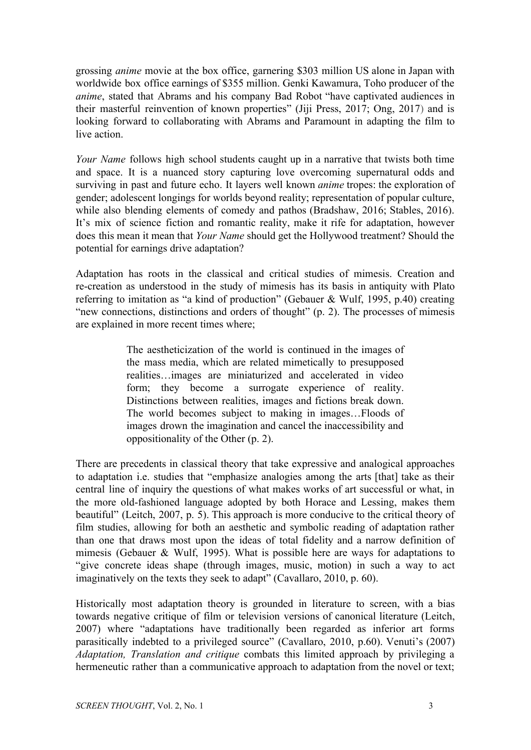grossing *anime* movie at the box office, garnering \$303 million US alone in Japan with worldwide box office earnings of \$355 million. Genki Kawamura, Toho producer of the *anime*, stated that Abrams and his company Bad Robot "have captivated audiences in their masterful reinvention of known properties" (Jiji Press, 2017; Ong, 2017) and is looking forward to collaborating with Abrams and Paramount in adapting the film to live action.

*Your Name* follows high school students caught up in a narrative that twists both time and space. It is a nuanced story capturing love overcoming supernatural odds and surviving in past and future echo. It layers well known *anime* tropes: the exploration of gender; adolescent longings for worlds beyond reality; representation of popular culture, while also blending elements of comedy and pathos (Bradshaw, 2016; Stables, 2016). It's mix of science fiction and romantic reality, make it rife for adaptation, however does this mean it mean that *Your Name* should get the Hollywood treatment? Should the potential for earnings drive adaptation?

Adaptation has roots in the classical and critical studies of mimesis. Creation and re-creation as understood in the study of mimesis has its basis in antiquity with Plato referring to imitation as "a kind of production" (Gebauer & Wulf, 1995, p.40) creating "new connections, distinctions and orders of thought" (p. 2). The processes of mimesis are explained in more recent times where;

> The aestheticization of the world is continued in the images of the mass media, which are related mimetically to presupposed realities…images are miniaturized and accelerated in video form; they become a surrogate experience of reality. Distinctions between realities, images and fictions break down. The world becomes subject to making in images…Floods of images drown the imagination and cancel the inaccessibility and oppositionality of the Other (p. 2).

There are precedents in classical theory that take expressive and analogical approaches to adaptation i.e. studies that "emphasize analogies among the arts [that] take as their central line of inquiry the questions of what makes works of art successful or what, in the more old-fashioned language adopted by both Horace and Lessing, makes them beautiful" (Leitch, 2007, p. 5). This approach is more conducive to the critical theory of film studies, allowing for both an aesthetic and symbolic reading of adaptation rather than one that draws most upon the ideas of total fidelity and a narrow definition of mimesis (Gebauer & Wulf, 1995). What is possible here are ways for adaptations to "give concrete ideas shape (through images, music, motion) in such a way to act imaginatively on the texts they seek to adapt" (Cavallaro, 2010, p. 60).

Historically most adaptation theory is grounded in literature to screen, with a bias towards negative critique of film or television versions of canonical literature (Leitch, 2007) where "adaptations have traditionally been regarded as inferior art forms parasitically indebted to a privileged source" (Cavallaro, 2010, p.60). Venuti's (2007) *Adaptation, Translation and critique* combats this limited approach by privileging a hermeneutic rather than a communicative approach to adaptation from the novel or text;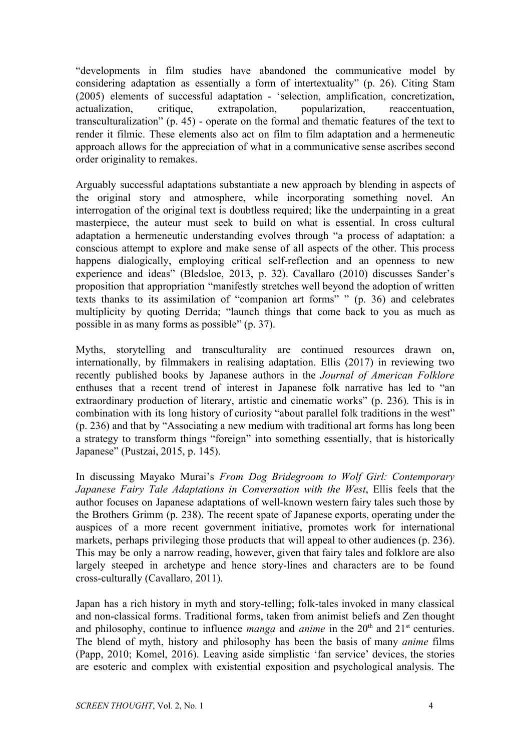"developments in film studies have abandoned the communicative model by considering adaptation as essentially a form of intertextuality" (p. 26). Citing Stam (2005) elements of successful adaptation - 'selection, amplification, concretization, actualization, critique, extrapolation, popularization, reaccentuation, transculturalization" (p. 45) - operate on the formal and thematic features of the text to render it filmic. These elements also act on film to film adaptation and a hermeneutic approach allows for the appreciation of what in a communicative sense ascribes second order originality to remakes.

Arguably successful adaptations substantiate a new approach by blending in aspects of the original story and atmosphere, while incorporating something novel. An interrogation of the original text is doubtless required; like the underpainting in a great masterpiece, the auteur must seek to build on what is essential. In cross cultural adaptation a hermeneutic understanding evolves through "a process of adaptation: a conscious attempt to explore and make sense of all aspects of the other. This process happens dialogically, employing critical self-reflection and an openness to new experience and ideas" (Bledsloe, 2013, p. 32). Cavallaro (2010) discusses Sander's proposition that appropriation "manifestly stretches well beyond the adoption of written texts thanks to its assimilation of "companion art forms" " (p. 36) and celebrates multiplicity by quoting Derrida; "launch things that come back to you as much as possible in as many forms as possible" (p. 37).

Myths, storytelling and transculturality are continued resources drawn on, internationally, by filmmakers in realising adaptation. Ellis (2017) in reviewing two recently published books by Japanese authors in the *Journal of American Folklore* enthuses that a recent trend of interest in Japanese folk narrative has led to "an extraordinary production of literary, artistic and cinematic works" (p. 236). This is in combination with its long history of curiosity "about parallel folk traditions in the west" (p. 236) and that by "Associating a new medium with traditional art forms has long been a strategy to transform things "foreign" into something essentially, that is historically Japanese" (Pustzai, 2015, p. 145).

In discussing Mayako Murai's *From Dog Bridegroom to Wolf Girl: Contemporary Japanese Fairy Tale Adaptations in Conversation with the West*, Ellis feels that the author focuses on Japanese adaptations of well-known western fairy tales such those by the Brothers Grimm (p. 238). The recent spate of Japanese exports, operating under the auspices of a more recent government initiative, promotes work for international markets, perhaps privileging those products that will appeal to other audiences (p. 236). This may be only a narrow reading, however, given that fairy tales and folklore are also largely steeped in archetype and hence story-lines and characters are to be found cross-culturally (Cavallaro, 2011).

Japan has a rich history in myth and story-telling; folk-tales invoked in many classical and non-classical forms. Traditional forms, taken from animist beliefs and Zen thought and philosophy, continue to influence *manga* and *anime* in the  $20<sup>th</sup>$  and  $21<sup>st</sup>$  centuries. The blend of myth, history and philosophy has been the basis of many *anime* films (Papp, 2010; Komel, 2016). Leaving aside simplistic 'fan service' devices, the stories are esoteric and complex with existential exposition and psychological analysis. The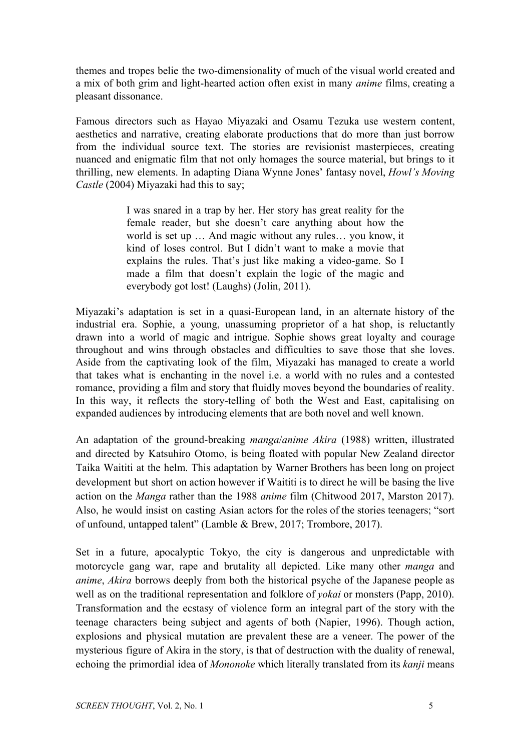themes and tropes belie the two-dimensionality of much of the visual world created and a mix of both grim and light-hearted action often exist in many *anime* films, creating a pleasant dissonance.

Famous directors such as Hayao Miyazaki and Osamu Tezuka use western content, aesthetics and narrative, creating elaborate productions that do more than just borrow from the individual source text. The stories are revisionist masterpieces, creating nuanced and enigmatic film that not only homages the source material, but brings to it thrilling, new elements. In adapting Diana Wynne Jones' fantasy novel, *Howl's Moving Castle* (2004) Miyazaki had this to say;

> I was snared in a trap by her. Her story has great reality for the female reader, but she doesn't care anything about how the world is set up … And magic without any rules… you know, it kind of loses control. But I didn't want to make a movie that explains the rules. That's just like making a video-game. So I made a film that doesn't explain the logic of the magic and everybody got lost! (Laughs) (Jolin, 2011).

Miyazaki's adaptation is set in a quasi-European land, in an alternate history of the industrial era. Sophie, a young, unassuming proprietor of a hat shop, is reluctantly drawn into a world of magic and intrigue. Sophie shows great loyalty and courage throughout and wins through obstacles and difficulties to save those that she loves. Aside from the captivating look of the film, Miyazaki has managed to create a world that takes what is enchanting in the novel i.e. a world with no rules and a contested romance, providing a film and story that fluidly moves beyond the boundaries of reality. In this way, it reflects the story-telling of both the West and East, capitalising on expanded audiences by introducing elements that are both novel and well known.

An adaptation of the ground-breaking *manga*/*anime Akira* (1988) written, illustrated and directed by Katsuhiro Otomo, is being floated with popular New Zealand director Taika Waititi at the helm. This adaptation by Warner Brothers has been long on project development but short on action however if Waititi is to direct he will be basing the live action on the *Manga* rather than the 1988 *anime* film (Chitwood 2017, Marston 2017). Also, he would insist on casting Asian actors for the roles of the stories teenagers; "sort of unfound, untapped talent" (Lamble & Brew, 2017; Trombore, 2017).

Set in a future, apocalyptic Tokyo, the city is dangerous and unpredictable with motorcycle gang war, rape and brutality all depicted. Like many other *manga* and *anime*, *Akira* borrows deeply from both the historical psyche of the Japanese people as well as on the traditional representation and folklore of *yokai* or monsters (Papp, 2010). Transformation and the ecstasy of violence form an integral part of the story with the teenage characters being subject and agents of both (Napier, 1996). Though action, explosions and physical mutation are prevalent these are a veneer. The power of the mysterious figure of Akira in the story, is that of destruction with the duality of renewal, echoing the primordial idea of *Mononoke* which literally translated from its *kanji* means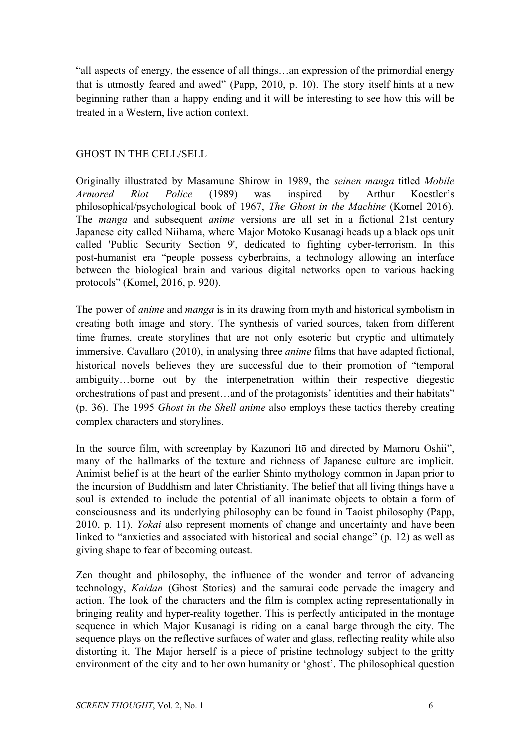"all aspects of energy, the essence of all things…an expression of the primordial energy that is utmostly feared and awed" (Papp, 2010, p. 10). The story itself hints at a new beginning rather than a happy ending and it will be interesting to see how this will be treated in a Western, live action context.

#### GHOST IN THE CELL/SELL

Originally illustrated by Masamune Shirow in 1989, the *seinen manga* titled *Mobile Armored Riot Police* (1989) was inspired by Arthur Koestler's philosophical/psychological book of 1967, *The Ghost in the Machine* (Komel 2016). The *manga* and subsequent *anime* versions are all set in a fictional 21st century Japanese city called Niihama, where Major Motoko Kusanagi heads up a black ops unit called 'Public Security Section 9', dedicated to fighting cyber-terrorism. In this post-humanist era "people possess cyberbrains, a technology allowing an interface between the biological brain and various digital networks open to various hacking protocols" (Komel, 2016, p. 920).

The power of *anime* and *manga* is in its drawing from myth and historical symbolism in creating both image and story. The synthesis of varied sources, taken from different time frames, create storylines that are not only esoteric but cryptic and ultimately immersive. Cavallaro (2010), in analysing three *anime* films that have adapted fictional, historical novels believes they are successful due to their promotion of "temporal ambiguity…borne out by the interpenetration within their respective diegestic orchestrations of past and present…and of the protagonists' identities and their habitats" (p. 36). The 1995 *Ghost in the Shell anime* also employs these tactics thereby creating complex characters and storylines.

In the source film, with screenplay by Kazunori Itō and directed by Mamoru Oshii", many of the hallmarks of the texture and richness of Japanese culture are implicit. Animist belief is at the heart of the earlier Shinto mythology common in Japan prior to the incursion of Buddhism and later Christianity. The belief that all living things have a soul is extended to include the potential of all inanimate objects to obtain a form of consciousness and its underlying philosophy can be found in Taoist philosophy (Papp, 2010, p. 11). *Yokai* also represent moments of change and uncertainty and have been linked to "anxieties and associated with historical and social change" (p. 12) as well as giving shape to fear of becoming outcast.

Zen thought and philosophy, the influence of the wonder and terror of advancing technology, *Kaidan* (Ghost Stories) and the samurai code pervade the imagery and action. The look of the characters and the film is complex acting representationally in bringing reality and hyper-reality together. This is perfectly anticipated in the montage sequence in which Major Kusanagi is riding on a canal barge through the city. The sequence plays on the reflective surfaces of water and glass, reflecting reality while also distorting it. The Major herself is a piece of pristine technology subject to the gritty environment of the city and to her own humanity or 'ghost'. The philosophical question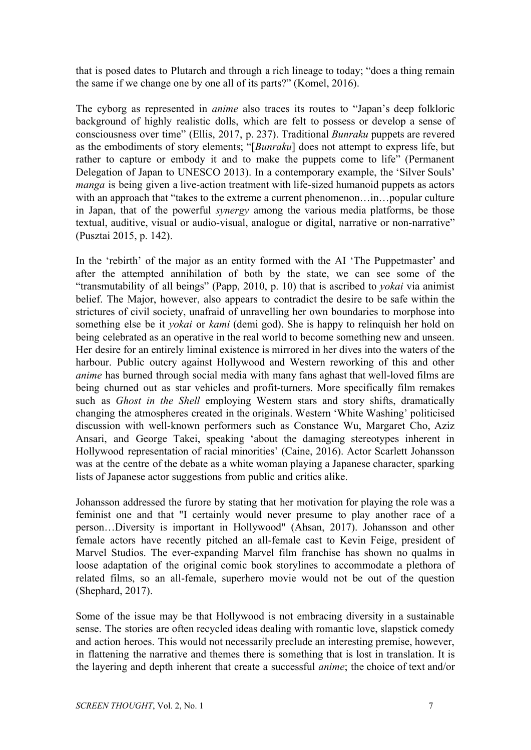that is posed dates to Plutarch and through a rich lineage to today; "does a thing remain the same if we change one by one all of its parts?" (Komel, 2016).

The cyborg as represented in *anime* also traces its routes to "Japan's deep folkloric background of highly realistic dolls, which are felt to possess or develop a sense of consciousness over time" (Ellis, 2017, p. 237). Traditional *Bunraku* puppets are revered as the embodiments of story elements; "[*Bunraku*] does not attempt to express life, but rather to capture or embody it and to make the puppets come to life" (Permanent Delegation of Japan to UNESCO 2013). In a contemporary example, the 'Silver Souls' *manga* is being given a live-action treatment with life-sized humanoid puppets as actors with an approach that "takes to the extreme a current phenomenon...in...popular culture in Japan, that of the powerful *synergy* among the various media platforms, be those textual, auditive, visual or audio-visual, analogue or digital, narrative or non-narrative" (Pusztai 2015, p. 142).

In the 'rebirth' of the major as an entity formed with the AI 'The Puppetmaster' and after the attempted annihilation of both by the state, we can see some of the "transmutability of all beings" (Papp, 2010, p. 10) that is ascribed to *yokai* via animist belief. The Major, however, also appears to contradict the desire to be safe within the strictures of civil society, unafraid of unravelling her own boundaries to morphose into something else be it *yokai* or *kami* (demi god). She is happy to relinquish her hold on being celebrated as an operative in the real world to become something new and unseen. Her desire for an entirely liminal existence is mirrored in her dives into the waters of the harbour. Public outcry against Hollywood and Western reworking of this and other *anime* has burned through social media with many fans aghast that well-loved films are being churned out as star vehicles and profit-turners. More specifically film remakes such as *Ghost in the Shell* employing Western stars and story shifts, dramatically changing the atmospheres created in the originals. Western 'White Washing' politicised discussion with well-known performers such as Constance Wu, Margaret Cho, Aziz Ansari, and George Takei, speaking 'about the damaging stereotypes inherent in Hollywood representation of racial minorities' (Caine, 2016). Actor Scarlett Johansson was at the centre of the debate as a white woman playing a Japanese character, sparking lists of Japanese actor suggestions from public and critics alike.

Johansson addressed the furore by stating that her motivation for playing the role was a feminist one and that "I certainly would never presume to play another race of a person…Diversity is important in Hollywood" (Ahsan, 2017). Johansson and other female actors have recently pitched an all-female cast to Kevin Feige, president of Marvel Studios. The ever-expanding Marvel film franchise has shown no qualms in loose adaptation of the original comic book storylines to accommodate a plethora of related films, so an all-female, superhero movie would not be out of the question (Shephard, 2017).

Some of the issue may be that Hollywood is not embracing diversity in a sustainable sense. The stories are often recycled ideas dealing with romantic love, slapstick comedy and action heroes. This would not necessarily preclude an interesting premise, however, in flattening the narrative and themes there is something that is lost in translation. It is the layering and depth inherent that create a successful *anime*; the choice of text and/or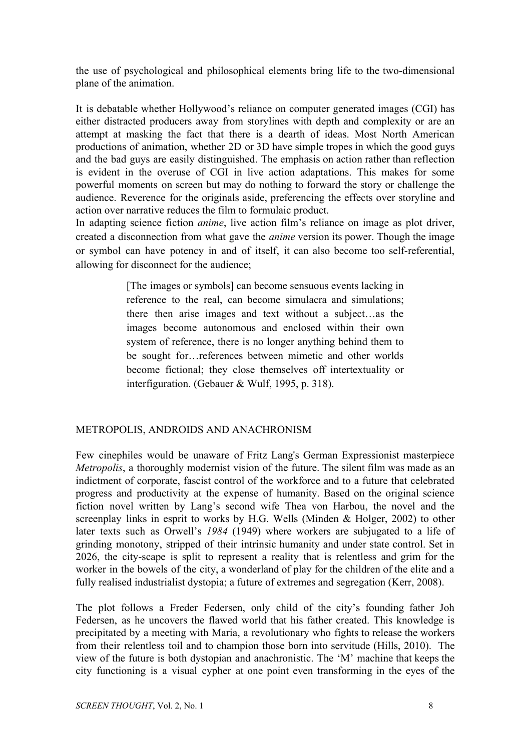the use of psychological and philosophical elements bring life to the two-dimensional plane of the animation.

It is debatable whether Hollywood's reliance on computer generated images (CGI) has either distracted producers away from storylines with depth and complexity or are an attempt at masking the fact that there is a dearth of ideas. Most North American productions of animation, whether 2D or 3D have simple tropes in which the good guys and the bad guys are easily distinguished. The emphasis on action rather than reflection is evident in the overuse of CGI in live action adaptations. This makes for some powerful moments on screen but may do nothing to forward the story or challenge the audience. Reverence for the originals aside, preferencing the effects over storyline and action over narrative reduces the film to formulaic product.

In adapting science fiction *anime*, live action film's reliance on image as plot driver, created a disconnection from what gave the *anime* version its power. Though the image or symbol can have potency in and of itself, it can also become too self-referential, allowing for disconnect for the audience;

> [The images or symbols] can become sensuous events lacking in reference to the real, can become simulacra and simulations; there then arise images and text without a subject…as the images become autonomous and enclosed within their own system of reference, there is no longer anything behind them to be sought for…references between mimetic and other worlds become fictional; they close themselves off intertextuality or interfiguration. (Gebauer & Wulf, 1995, p. 318).

# METROPOLIS, ANDROIDS AND ANACHRONISM

Few cinephiles would be unaware of Fritz Lang's German Expressionist masterpiece *Metropolis*, a thoroughly modernist vision of the future. The silent film was made as an indictment of corporate, fascist control of the workforce and to a future that celebrated progress and productivity at the expense of humanity. Based on the original science fiction novel written by Lang's second wife Thea von Harbou, the novel and the screenplay links in esprit to works by H.G. Wells (Minden & Holger, 2002) to other later texts such as Orwell's *1984* (1949) where workers are subjugated to a life of grinding monotony, stripped of their intrinsic humanity and under state control. Set in 2026, the city-scape is split to represent a reality that is relentless and grim for the worker in the bowels of the city, a wonderland of play for the children of the elite and a fully realised industrialist dystopia; a future of extremes and segregation (Kerr, 2008).

The plot follows a Freder Federsen, only child of the city's founding father Joh Federsen, as he uncovers the flawed world that his father created. This knowledge is precipitated by a meeting with Maria, a revolutionary who fights to release the workers from their relentless toil and to champion those born into servitude (Hills, 2010). The view of the future is both dystopian and anachronistic. The 'M' machine that keeps the city functioning is a visual cypher at one point even transforming in the eyes of the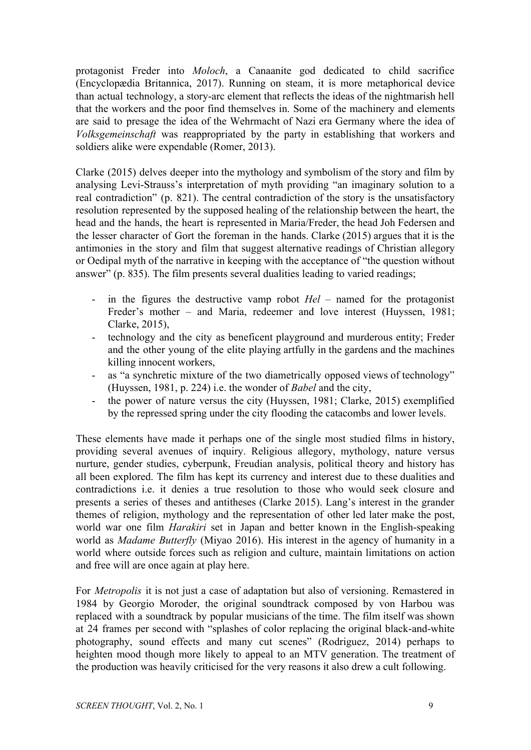protagonist Freder into *Moloch*, a Canaanite god dedicated to child sacrifice (Encyclopædia Britannica, 2017). Running on steam, it is more metaphorical device than actual technology, a story-arc element that reflects the ideas of the nightmarish hell that the workers and the poor find themselves in. Some of the machinery and elements are said to presage the idea of the Wehrmacht of Nazi era Germany where the idea of *Volksgemeinschaft* was reappropriated by the party in establishing that workers and soldiers alike were expendable (Romer, 2013).

Clarke (2015) delves deeper into the mythology and symbolism of the story and film by analysing Levi-Strauss's interpretation of myth providing "an imaginary solution to a real contradiction" (p. 821). The central contradiction of the story is the unsatisfactory resolution represented by the supposed healing of the relationship between the heart, the head and the hands, the heart is represented in Maria/Freder, the head Joh Federsen and the lesser character of Gort the foreman in the hands. Clarke (2015) argues that it is the antimonies in the story and film that suggest alternative readings of Christian allegory or Oedipal myth of the narrative in keeping with the acceptance of "the question without answer" (p. 835). The film presents several dualities leading to varied readings;

- in the figures the destructive vamp robot *Hel* named for the protagonist Freder's mother – and Maria, redeemer and love interest (Huyssen, 1981; Clarke, 2015),
- technology and the city as beneficent playground and murderous entity; Freder and the other young of the elite playing artfully in the gardens and the machines killing innocent workers,
- as "a synchretic mixture of the two diametrically opposed views of technology" (Huyssen, 1981, p. 224) i.e. the wonder of *Babel* and the city,
- the power of nature versus the city (Huyssen, 1981; Clarke, 2015) exemplified by the repressed spring under the city flooding the catacombs and lower levels.

These elements have made it perhaps one of the single most studied films in history, providing several avenues of inquiry. Religious allegory, mythology, nature versus nurture, gender studies, cyberpunk, Freudian analysis, political theory and history has all been explored. The film has kept its currency and interest due to these dualities and contradictions i.e. it denies a true resolution to those who would seek closure and presents a series of theses and antitheses (Clarke 2015). Lang's interest in the grander themes of religion, mythology and the representation of other led later make the post, world war one film *Harakiri* set in Japan and better known in the English-speaking world as *Madame Butterfly* (Miyao 2016). His interest in the agency of humanity in a world where outside forces such as religion and culture, maintain limitations on action and free will are once again at play here.

For *Metropolis* it is not just a case of adaptation but also of versioning. Remastered in 1984 by Georgio Moroder, the original soundtrack composed by von Harbou was replaced with a soundtrack by popular musicians of the time. The film itself was shown at 24 frames per second with "splashes of color replacing the original black-and-white photography, sound effects and many cut scenes" (Rodriguez, 2014) perhaps to heighten mood though more likely to appeal to an MTV generation. The treatment of the production was heavily criticised for the very reasons it also drew a cult following.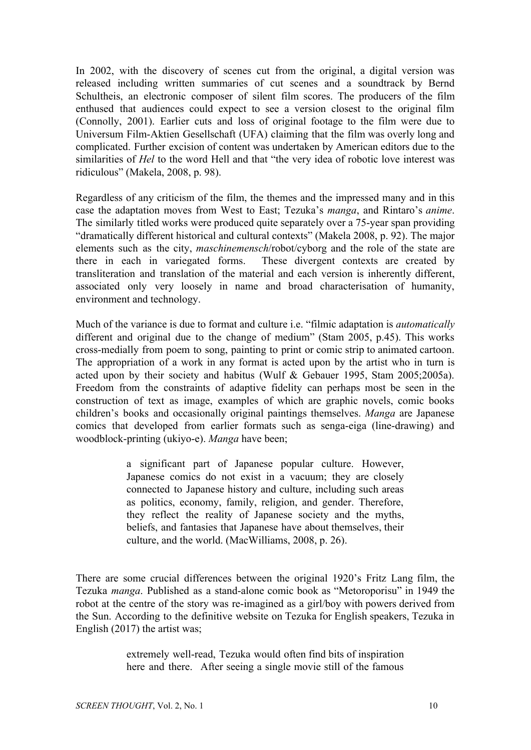In 2002, with the discovery of scenes cut from the original, a digital version was released including written summaries of cut scenes and a soundtrack by Bernd Schultheis, an electronic composer of silent film scores. The producers of the film enthused that audiences could expect to see a version closest to the original film (Connolly, 2001). Earlier cuts and loss of original footage to the film were due to Universum Film-Aktien Gesellschaft (UFA) claiming that the film was overly long and complicated. Further excision of content was undertaken by American editors due to the similarities of *Hel* to the word Hell and that "the very idea of robotic love interest was ridiculous" (Makela, 2008, p. 98).

Regardless of any criticism of the film, the themes and the impressed many and in this case the adaptation moves from West to East; Tezuka's *manga*, and Rintaro's *anime*. The similarly titled works were produced quite separately over a 75-year span providing "dramatically different historical and cultural contexts" (Makela 2008, p. 92). The major elements such as the city, *maschinemensch*/robot/cyborg and the role of the state are there in each in variegated forms. These divergent contexts are created by transliteration and translation of the material and each version is inherently different, associated only very loosely in name and broad characterisation of humanity, environment and technology.

Much of the variance is due to format and culture i.e. "filmic adaptation is *automatically* different and original due to the change of medium" (Stam 2005, p.45). This works cross-medially from poem to song, painting to print or comic strip to animated cartoon. The appropriation of a work in any format is acted upon by the artist who in turn is acted upon by their society and habitus (Wulf & Gebauer 1995, Stam 2005;2005a). Freedom from the constraints of adaptive fidelity can perhaps most be seen in the construction of text as image, examples of which are graphic novels, comic books children's books and occasionally original paintings themselves. *Manga* are Japanese comics that developed from earlier formats such as senga-eiga (line-drawing) and woodblock-printing (ukiyo-e). *Manga* have been;

> a significant part of Japanese popular culture. However, Japanese comics do not exist in a vacuum; they are closely connected to Japanese history and culture, including such areas as politics, economy, family, religion, and gender. Therefore, they reflect the reality of Japanese society and the myths, beliefs, and fantasies that Japanese have about themselves, their culture, and the world. (MacWilliams, 2008, p. 26).

There are some crucial differences between the original 1920's Fritz Lang film, the Tezuka *manga*. Published as a stand-alone comic book as "Metoroporisu" in 1949 the robot at the centre of the story was re-imagined as a girl/boy with powers derived from the Sun. According to the definitive website on Tezuka for English speakers, Tezuka in English (2017) the artist was;

> extremely well-read, Tezuka would often find bits of inspiration here and there. After seeing a single movie still of the famous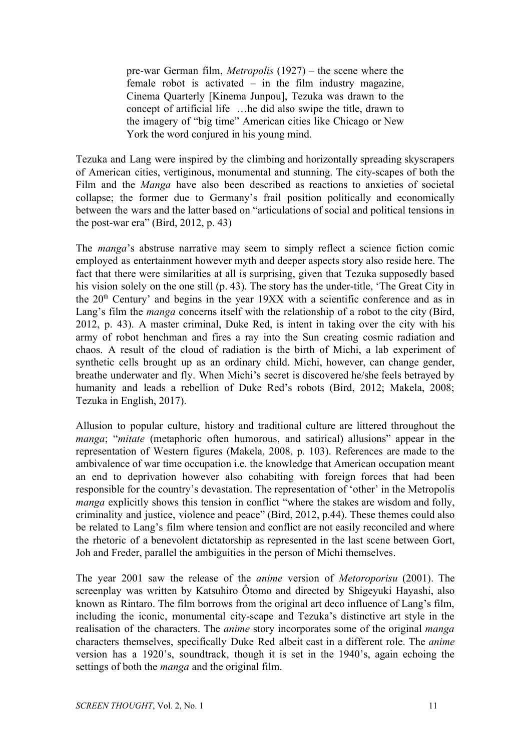pre-war German film, *Metropolis* (1927) – the scene where the female robot is activated – in the film industry magazine, Cinema Quarterly [Kinema Junpou], Tezuka was drawn to the concept of artificial life …he did also swipe the title, drawn to the imagery of "big time" American cities like Chicago or New York the word conjured in his young mind.

Tezuka and Lang were inspired by the climbing and horizontally spreading skyscrapers of American cities, vertiginous, monumental and stunning. The city-scapes of both the Film and the *Manga* have also been described as reactions to anxieties of societal collapse; the former due to Germany's frail position politically and economically between the wars and the latter based on "articulations of social and political tensions in the post-war era" (Bird, 2012, p. 43)

The *manga*'s abstruse narrative may seem to simply reflect a science fiction comic employed as entertainment however myth and deeper aspects story also reside here. The fact that there were similarities at all is surprising, given that Tezuka supposedly based his vision solely on the one still (p. 43). The story has the under-title, 'The Great City in the  $20<sup>th</sup>$  Century' and begins in the year 19XX with a scientific conference and as in Lang's film the *manga* concerns itself with the relationship of a robot to the city (Bird, 2012, p. 43). A master criminal, Duke Red, is intent in taking over the city with his army of robot henchman and fires a ray into the Sun creating cosmic radiation and chaos. A result of the cloud of radiation is the birth of Michi, a lab experiment of synthetic cells brought up as an ordinary child. Michi, however, can change gender, breathe underwater and fly. When Michi's secret is discovered he/she feels betrayed by humanity and leads a rebellion of Duke Red's robots (Bird, 2012; Makela, 2008; Tezuka in English, 2017).

Allusion to popular culture, history and traditional culture are littered throughout the *manga*; "*mitate* (metaphoric often humorous, and satirical) allusions" appear in the representation of Western figures (Makela, 2008, p. 103). References are made to the ambivalence of war time occupation i.e. the knowledge that American occupation meant an end to deprivation however also cohabiting with foreign forces that had been responsible for the country's devastation. The representation of 'other' in the Metropolis *manga* explicitly shows this tension in conflict "where the stakes are wisdom and folly, criminality and justice, violence and peace" (Bird, 2012, p.44). These themes could also be related to Lang's film where tension and conflict are not easily reconciled and where the rhetoric of a benevolent dictatorship as represented in the last scene between Gort, Joh and Freder, parallel the ambiguities in the person of Michi themselves.

The year 2001 saw the release of the *anime* version of *Metoroporisu* (2001). The screenplay was written by Katsuhiro Ôtomo and directed by Shigeyuki Hayashi, also known as Rintaro. The film borrows from the original art deco influence of Lang's film, including the iconic, monumental city-scape and Tezuka's distinctive art style in the realisation of the characters. The *anime* story incorporates some of the original *manga* characters themselves, specifically Duke Red albeit cast in a different role. The *anime* version has a 1920's, soundtrack, though it is set in the 1940's, again echoing the settings of both the *manga* and the original film.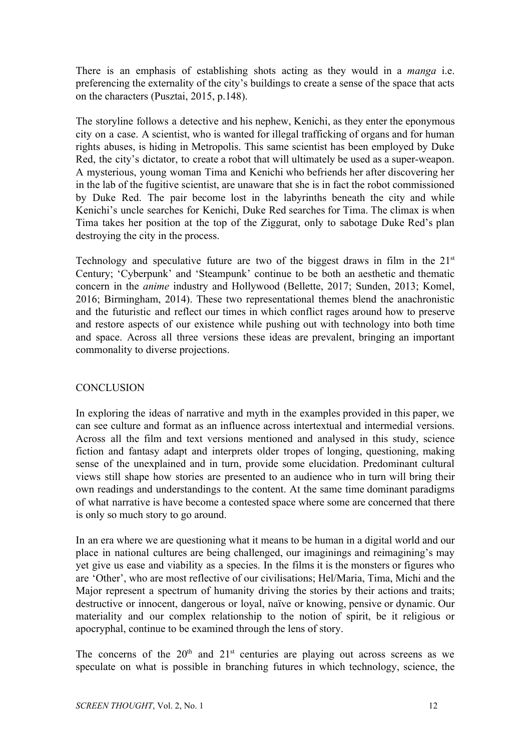There is an emphasis of establishing shots acting as they would in a *manga* i.e. preferencing the externality of the city's buildings to create a sense of the space that acts on the characters (Pusztai, 2015, p.148).

The storyline follows a detective and his nephew, Kenichi, as they enter the eponymous city on a case. A scientist, who is wanted for illegal trafficking of organs and for human rights abuses, is hiding in Metropolis. This same scientist has been employed by Duke Red, the city's dictator, to create a robot that will ultimately be used as a super-weapon. A mysterious, young woman Tima and Kenichi who befriends her after discovering her in the lab of the fugitive scientist, are unaware that she is in fact the robot commissioned by Duke Red. The pair become lost in the labyrinths beneath the city and while Kenichi's uncle searches for Kenichi, Duke Red searches for Tima. The climax is when Tima takes her position at the top of the Ziggurat, only to sabotage Duke Red's plan destroying the city in the process.

Technology and speculative future are two of the biggest draws in film in the  $21<sup>st</sup>$ Century; 'Cyberpunk' and 'Steampunk' continue to be both an aesthetic and thematic concern in the *anime* industry and Hollywood (Bellette, 2017; Sunden, 2013; Komel, 2016; Birmingham, 2014). These two representational themes blend the anachronistic and the futuristic and reflect our times in which conflict rages around how to preserve and restore aspects of our existence while pushing out with technology into both time and space. Across all three versions these ideas are prevalent, bringing an important commonality to diverse projections.

## **CONCLUSION**

In exploring the ideas of narrative and myth in the examples provided in this paper, we can see culture and format as an influence across intertextual and intermedial versions. Across all the film and text versions mentioned and analysed in this study, science fiction and fantasy adapt and interprets older tropes of longing, questioning, making sense of the unexplained and in turn, provide some elucidation. Predominant cultural views still shape how stories are presented to an audience who in turn will bring their own readings and understandings to the content. At the same time dominant paradigms of what narrative is have become a contested space where some are concerned that there is only so much story to go around.

In an era where we are questioning what it means to be human in a digital world and our place in national cultures are being challenged, our imaginings and reimagining's may yet give us ease and viability as a species. In the films it is the monsters or figures who are 'Other', who are most reflective of our civilisations; Hel/Maria, Tima, Michi and the Major represent a spectrum of humanity driving the stories by their actions and traits; destructive or innocent, dangerous or loyal, naïve or knowing, pensive or dynamic. Our materiality and our complex relationship to the notion of spirit, be it religious or apocryphal, continue to be examined through the lens of story.

The concerns of the  $20<sup>th</sup>$  and  $21<sup>st</sup>$  centuries are playing out across screens as we speculate on what is possible in branching futures in which technology, science, the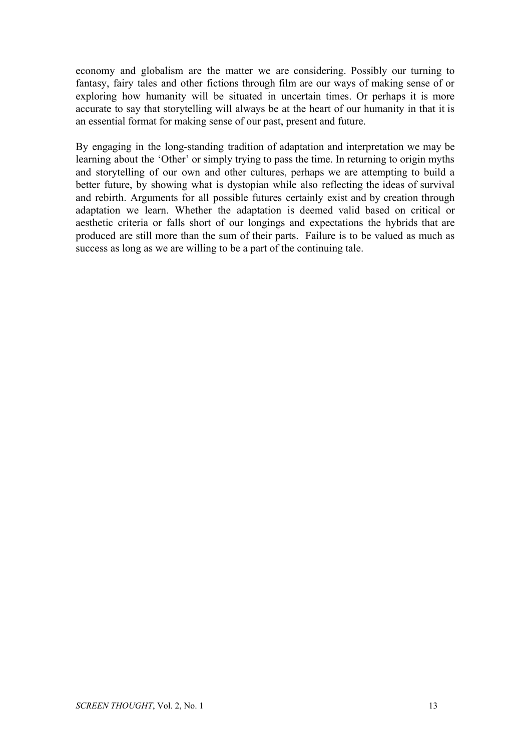economy and globalism are the matter we are considering. Possibly our turning to fantasy, fairy tales and other fictions through film are our ways of making sense of or exploring how humanity will be situated in uncertain times. Or perhaps it is more accurate to say that storytelling will always be at the heart of our humanity in that it is an essential format for making sense of our past, present and future.

By engaging in the long-standing tradition of adaptation and interpretation we may be learning about the 'Other' or simply trying to pass the time. In returning to origin myths and storytelling of our own and other cultures, perhaps we are attempting to build a better future, by showing what is dystopian while also reflecting the ideas of survival and rebirth. Arguments for all possible futures certainly exist and by creation through adaptation we learn. Whether the adaptation is deemed valid based on critical or aesthetic criteria or falls short of our longings and expectations the hybrids that are produced are still more than the sum of their parts. Failure is to be valued as much as success as long as we are willing to be a part of the continuing tale.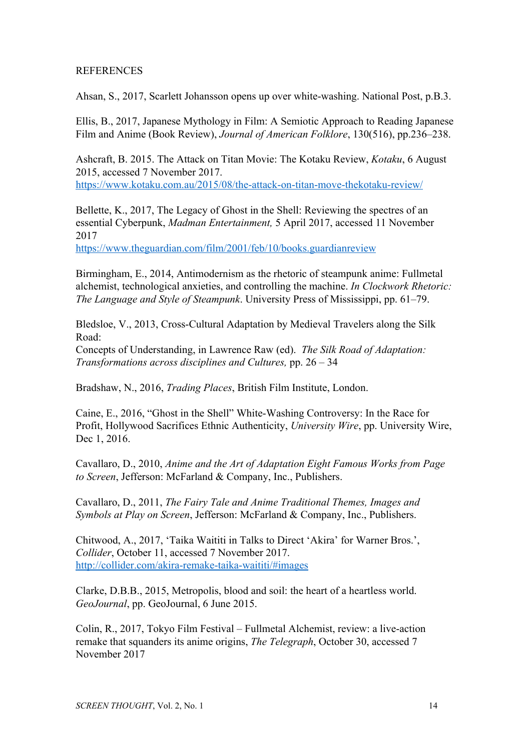## **REFERENCES**

Ahsan, S., 2017, Scarlett Johansson opens up over white-washing. National Post, p.B.3.

Ellis, B., 2017, Japanese Mythology in Film: A Semiotic Approach to Reading Japanese Film and Anime (Book Review), *Journal of American Folklore*, 130(516), pp.236–238.

Ashcraft, B. 2015. The Attack on Titan Movie: The Kotaku Review, *Kotaku*, 6 August 2015, accessed 7 November 2017. <https://www.kotaku.com.au/2015/08/the-attack-on-titan-move-thekotaku-review/>

Bellette, K., 2017, The Legacy of Ghost in the Shell: Reviewing the spectres of an essential Cyberpunk, *Madman Entertainment,* 5 April 2017, accessed 11 November 2017

<https://www.theguardian.com/film/2001/feb/10/books.guardianreview>

Birmingham, E., 2014, Antimodernism as the rhetoric of steampunk anime: Fullmetal alchemist, technological anxieties, and controlling the machine. *In Clockwork Rhetoric: The Language and Style of Steampunk*. University Press of Mississippi, pp. 61–79.

Bledsloe, V., 2013, Cross-Cultural Adaptation by Medieval Travelers along the Silk Road:

Concepts of Understanding, in Lawrence Raw (ed). *The Silk Road of Adaptation: Transformations across disciplines and Cultures,* pp. 26 – 34

Bradshaw, N., 2016, *Trading Places*, British Film Institute, London.

Caine, E., 2016, "Ghost in the Shell" White-Washing Controversy: In the Race for Profit, Hollywood Sacrifices Ethnic Authenticity, *University Wire*, pp. University Wire, Dec 1, 2016.

Cavallaro, D., 2010, *Anime and the Art of Adaptation Eight Famous Works from Page to Screen*, Jefferson: McFarland & Company, Inc., Publishers.

Cavallaro, D., 2011, *The Fairy Tale and Anime Traditional Themes, Images and Symbols at Play on Screen*, Jefferson: McFarland & Company, Inc., Publishers.

Chitwood, A., 2017, 'Taika Waititi in Talks to Direct 'Akira' for Warner Bros.', *Collider*, October 11, accessed 7 November 2017. <http://collider.com/akira-remake-taika-waititi/#images>

Clarke, D.B.B., 2015, Metropolis, blood and soil: the heart of a heartless world. *GeoJournal*, pp. GeoJournal, 6 June 2015.

Colin, R., 2017, Tokyo Film Festival – Fullmetal Alchemist, review: a live-action remake that squanders its anime origins, *The Telegraph*, October 30, accessed 7 November 2017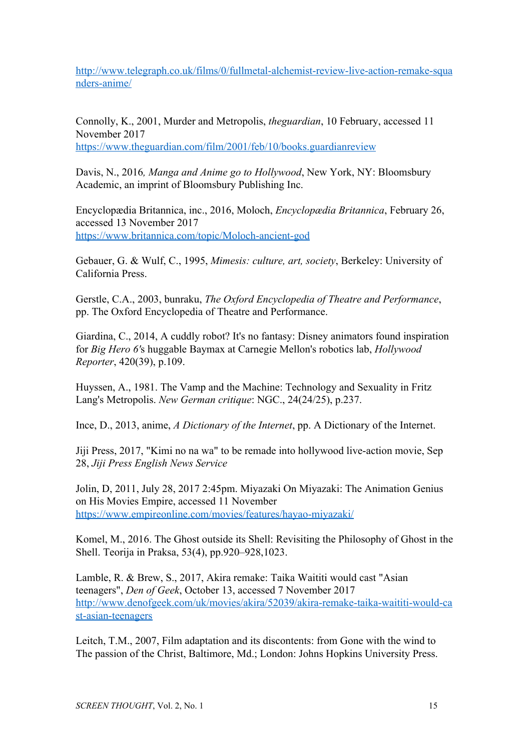[http://www.telegraph.co.uk/films/0/fullmetal-alchemist-review-live-action-remake-squa](http://www.telegraph.co.uk/films/0/fullmetal-alchemist-review-live-action-remake-squanders-anime/) [nders-anime/](http://www.telegraph.co.uk/films/0/fullmetal-alchemist-review-live-action-remake-squanders-anime/)

Connolly, K., 2001, Murder and Metropolis, *theguardian*, 10 February, accessed 11 November 2017 <https://www.theguardian.com/film/2001/feb/10/books.guardianreview>

Davis, N., 2016*, Manga and Anime go to Hollywood*, New York, NY: Bloomsbury Academic, an imprint of Bloomsbury Publishing Inc.

Encyclopædia Britannica, inc., 2016, Moloch, *Encyclopædia Britannica*, February 26, accessed 13 November 2017 <https://www.britannica.com/topic/Moloch-ancient-god>

Gebauer, G. & Wulf, C., 1995, *Mimesis: culture, art, society*, Berkeley: University of California Press.

Gerstle, C.A., 2003, bunraku, *The Oxford Encyclopedia of Theatre and Performance*, pp. The Oxford Encyclopedia of Theatre and Performance.

Giardina, C., 2014, A cuddly robot? It's no fantasy: Disney animators found inspiration for *Big Hero 6'*s huggable Baymax at Carnegie Mellon's robotics lab, *Hollywood Reporter*, 420(39), p.109.

Huyssen, A., 1981. The Vamp and the Machine: Technology and Sexuality in Fritz Lang's Metropolis. *New German critique*: NGC., 24(24/25), p.237.

Ince, D., 2013, anime, *A Dictionary of the Internet*, pp. A Dictionary of the Internet.

Jiji Press, 2017, "Kimi no na wa" to be remade into hollywood live-action movie, Sep 28, *Jiji Press English News Service*

Jolin, D, 2011, July 28, 2017 2:45pm. Miyazaki On Miyazaki: The Animation Genius on His Movies Empire, accessed 11 November <https://www.empireonline.com/movies/features/hayao-miyazaki/>

Komel, M., 2016. The Ghost outside its Shell: Revisiting the Philosophy of Ghost in the Shell. Teorija in Praksa, 53(4), pp.920–928,1023.

Lamble, R. & Brew, S., 2017, Akira remake: Taika Waititi would cast "Asian teenagers", *Den of Geek*, October 13, accessed 7 November 2017 [http://www.denofgeek.com/uk/movies/akira/52039/akira-remake-taika-waititi-would-ca](http://www.denofgeek.com/uk/movies/akira/52039/akira-remake-taika-waititi-would-cast-asian-teenagers) [st-asian-teenagers](http://www.denofgeek.com/uk/movies/akira/52039/akira-remake-taika-waititi-would-cast-asian-teenagers)

Leitch, T.M., 2007, Film adaptation and its discontents: from Gone with the wind to The passion of the Christ, Baltimore, Md.; London: Johns Hopkins University Press.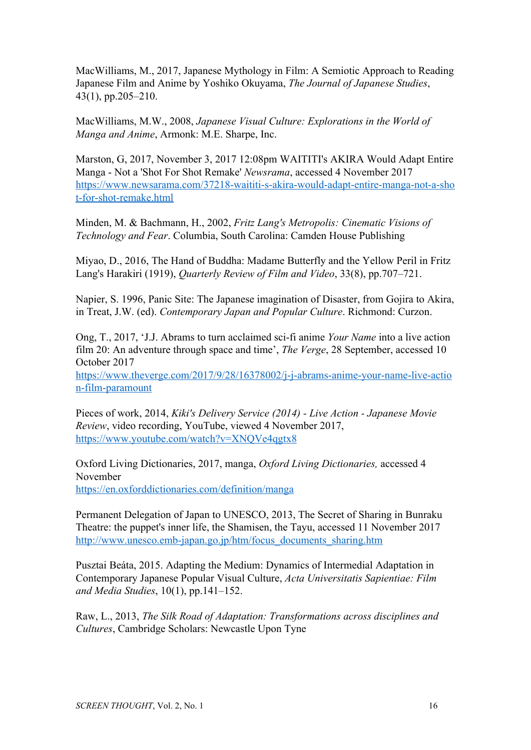MacWilliams, M., 2017, Japanese Mythology in Film: A Semiotic Approach to Reading Japanese Film and Anime by Yoshiko Okuyama, *The Journal of Japanese Studies*, 43(1), pp.205–210.

MacWilliams, M.W., 2008, *Japanese Visual Culture: Explorations in the World of Manga and Anime*, Armonk: M.E. Sharpe, Inc.

Marston, G, 2017, November 3, 2017 12:08pm WAITITI's AKIRA Would Adapt Entire Manga - Not a 'Shot For Shot Remake' *Newsrama*, accessed 4 November 2017 [https://www.newsarama.com/37218-waititi-s-akira-would-adapt-entire-manga-not-a-sho](https://www.newsarama.com/37218-waititi-s-akira-would-adapt-entire-manga-not-a-shot-for-shot-remake.html) [t-for-shot-remake.html](https://www.newsarama.com/37218-waititi-s-akira-would-adapt-entire-manga-not-a-shot-for-shot-remake.html)

Minden, M. & Bachmann, H., 2002, *Fritz Lang's Metropolis: Cinematic Visions of Technology and Fear*. Columbia, South Carolina: Camden House Publishing

Miyao, D., 2016, The Hand of Buddha: Madame Butterfly and the Yellow Peril in Fritz Lang's Harakiri (1919), *Quarterly Review of Film and Video*, 33(8), pp.707–721.

Napier, S. 1996, Panic Site: The Japanese imagination of Disaster, from Gojira to Akira, in Treat, J.W. (ed). *Contemporary Japan and Popular Culture*. Richmond: Curzon.

Ong, T., 2017, 'J.J. Abrams to turn acclaimed sci-fi anime *Your Name* into a live action film 20: An adventure through space and time', *The Verge*, 28 September, accessed 10 October 2017

[https://www.theverge.com/2017/9/28/16378002/j-j-abrams-anime-your-name-live-actio](https://www.theverge.com/2017/9/28/16378002/j-j-abrams-anime-your-name-live-action-film-paramount) [n-film-paramount](https://www.theverge.com/2017/9/28/16378002/j-j-abrams-anime-your-name-live-action-film-paramount)

Pieces of work, 2014, *Kiki's Delivery Service (2014) - Live Action - Japanese Movie Review*, video recording, YouTube, viewed 4 November 2017, <https://www.youtube.com/watch?v=XNQVe4qgtx8>

Oxford Living Dictionaries, 2017, manga, *Oxford Living Dictionaries,* accessed 4 November <https://en.oxforddictionaries.com/definition/manga>

Permanent Delegation of Japan to UNESCO, 2013, The Secret of Sharing in Bunraku Theatre: the puppet's inner life, the Shamisen, the Tayu, accessed 11 November 2017 [http://www.unesco.emb-japan.go.jp/htm/focus\\_documents\\_sharing.htm](http://www.unesco.emb-japan.go.jp/htm/focus_documents_sharing.htm)

Pusztai Beáta, 2015. Adapting the Medium: Dynamics of Intermedial Adaptation in Contemporary Japanese Popular Visual Culture, *Acta Universitatis Sapientiae: Film and Media Studies*, 10(1), pp.141–152.

Raw, L., 2013, *The Silk Road of Adaptation: Transformations across disciplines and Cultures*, Cambridge Scholars: Newcastle Upon Tyne